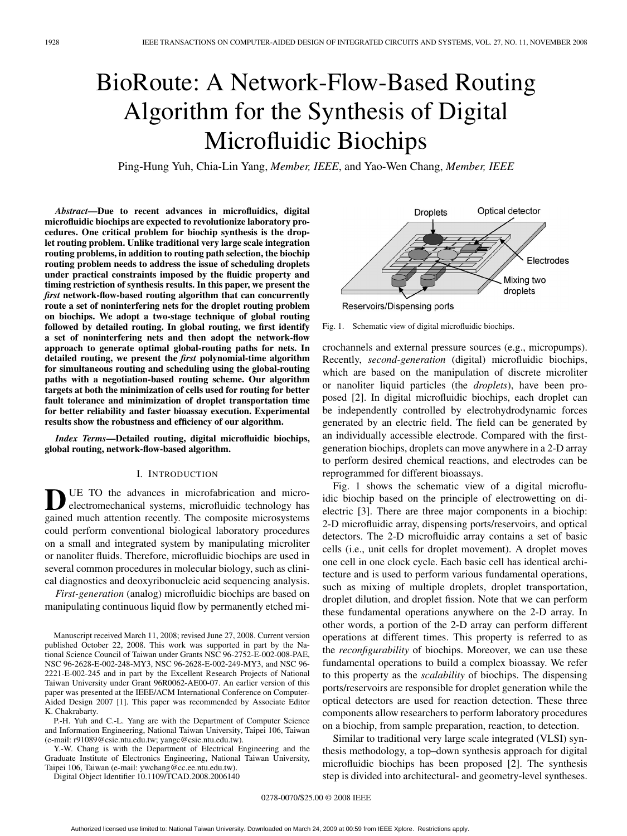# BioRoute: A Network-Flow-Based Routing Algorithm for the Synthesis of Digital Microfluidic Biochips

Ping-Hung Yuh, Chia-Lin Yang, *Member, IEEE*, and Yao-Wen Chang, *Member, IEEE*

*Abstract***—Due to recent advances in microfluidics, digital microfluidic biochips are expected to revolutionize laboratory procedures. One critical problem for biochip synthesis is the droplet routing problem. Unlike traditional very large scale integration routing problems, in addition to routing path selection, the biochip routing problem needs to address the issue of scheduling droplets under practical constraints imposed by the fluidic property and timing restriction of synthesis results. In this paper, we present the** *first* **network-flow-based routing algorithm that can concurrently route a set of noninterfering nets for the droplet routing problem on biochips. We adopt a two-stage technique of global routing followed by detailed routing. In global routing, we first identify a set of noninterfering nets and then adopt the network-flow approach to generate optimal global-routing paths for nets. In detailed routing, we present the** *first* **polynomial-time algorithm for simultaneous routing and scheduling using the global-routing paths with a negotiation-based routing scheme. Our algorithm targets at both the minimization of cells used for routing for better fault tolerance and minimization of droplet transportation time for better reliability and faster bioassay execution. Experimental results show the robustness and efficiency of our algorithm.**

*Index Terms***—Detailed routing, digital microfluidic biochips, global routing, network-flow-based algorithm.**

## I. INTRODUCTION

**D**UE TO the advances in microfabrication and micro-<br>electromechanical systems, microfluidic technology has gained much attention recently. The composite microsystems could perform conventional biological laboratory procedures on a small and integrated system by manipulating microliter or nanoliter fluids. Therefore, microfluidic biochips are used in several common procedures in molecular biology, such as clinical diagnostics and deoxyribonucleic acid sequencing analysis.

*First-generation* (analog) microfluidic biochips are based on manipulating continuous liquid flow by permanently etched mi-

P.-H. Yuh and C.-L. Yang are with the Department of Computer Science and Information Engineering, National Taiwan University, Taipei 106, Taiwan (e-mail: r91089@csie.ntu.edu.tw; yangc@csie.ntu.edu.tw).

Y.-W. Chang is with the Department of Electrical Engineering and the Graduate Institute of Electronics Engineering, National Taiwan University, Taipei 106, Taiwan (e-mail: ywchang@cc.ee.ntu.edu.tw).

Digital Object Identifier 10.1109/TCAD.2008.2006140



Reservoirs/Dispensing ports

Fig. 1. Schematic view of digital microfluidic biochips.

crochannels and external pressure sources (e.g., micropumps). Recently, *second-generation* (digital) microfluidic biochips, which are based on the manipulation of discrete microliter or nanoliter liquid particles (the *droplets*), have been proposed [2]. In digital microfluidic biochips, each droplet can be independently controlled by electrohydrodynamic forces generated by an electric field. The field can be generated by an individually accessible electrode. Compared with the firstgeneration biochips, droplets can move anywhere in a 2-D array to perform desired chemical reactions, and electrodes can be reprogrammed for different bioassays.

Fig. 1 shows the schematic view of a digital microfluidic biochip based on the principle of electrowetting on dielectric [3]. There are three major components in a biochip: 2-D microfluidic array, dispensing ports/reservoirs, and optical detectors. The 2-D microfluidic array contains a set of basic cells (i.e., unit cells for droplet movement). A droplet moves one cell in one clock cycle. Each basic cell has identical architecture and is used to perform various fundamental operations, such as mixing of multiple droplets, droplet transportation, droplet dilution, and droplet fission. Note that we can perform these fundamental operations anywhere on the 2-D array. In other words, a portion of the 2-D array can perform different operations at different times. This property is referred to as the *reconfigurability* of biochips. Moreover, we can use these fundamental operations to build a complex bioassay. We refer to this property as the *scalability* of biochips. The dispensing ports/reservoirs are responsible for droplet generation while the optical detectors are used for reaction detection. These three components allow researchers to perform laboratory procedures on a biochip, from sample preparation, reaction, to detection.

Similar to traditional very large scale integrated (VLSI) synthesis methodology, a top–down synthesis approach for digital microfluidic biochips has been proposed [2]. The synthesis step is divided into architectural- and geometry-level syntheses.

Manuscript received March 11, 2008; revised June 27, 2008. Current version published October 22, 2008. This work was supported in part by the National Science Council of Taiwan under Grants NSC 96-2752-E-002-008-PAE, NSC 96-2628-E-002-248-MY3, NSC 96-2628-E-002-249-MY3, and NSC 96- 2221-E-002-245 and in part by the Excellent Research Projects of National Taiwan University under Grant 96R0062-AE00-07. An earlier version of this paper was presented at the IEEE/ACM International Conference on Computer-Aided Design 2007 [1]. This paper was recommended by Associate Editor K. Chakrabarty.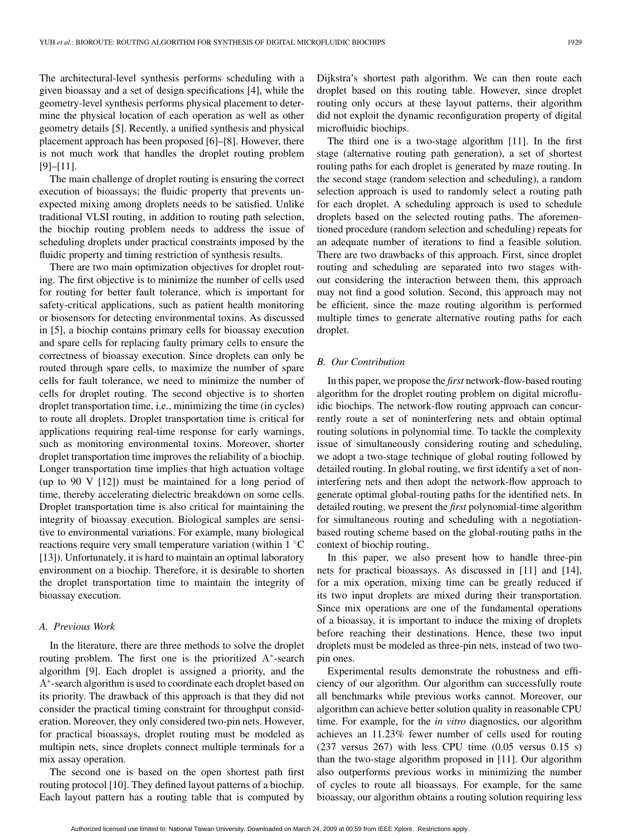The architectural-level synthesis performs scheduling with a given bioassay and a set of design specifications [4], while the geometry-level synthesis performs physical placement to determine the physical location of each operation as well as other geometry details [5]. Recently, a unified synthesis and physical placement approach has been proposed [6]–[8]. However, there is not much work that handles the droplet routing problem [9]–[11].

The main challenge of droplet routing is ensuring the correct execution of bioassays; the fluidic property that prevents unexpected mixing among droplets needs to be satisfied. Unlike traditional VLSI routing, in addition to routing path selection, the biochip routing problem needs to address the issue of scheduling droplets under practical constraints imposed by the fluidic property and timing restriction of synthesis results.

There are two main optimization objectives for droplet routing. The first objective is to minimize the number of cells used for routing for better fault tolerance, which is important for safety-critical applications, such as patient health monitoring or biosensors for detecting environmental toxins. As discussed in [5], a biochip contains primary cells for bioassay execution and spare cells for replacing faulty primary cells to ensure the correctness of bioassay execution. Since droplets can only be routed through spare cells, to maximize the number of spare cells for fault tolerance, we need to minimize the number of cells for droplet routing. The second objective is to shorten droplet transportation time, i.e., minimizing the time (in cycles) to route all droplets. Droplet transportation time is critical for applications requiring real-time response for early warnings, such as monitoring environmental toxins. Moreover, shorter droplet transportation time improves the reliability of a biochip. Longer transportation time implies that high actuation voltage (up to 90 V [12]) must be maintained for a long period of time, thereby accelerating dielectric breakdown on some cells. Droplet transportation time is also critical for maintaining the integrity of bioassay execution. Biological samples are sensitive to environmental variations. For example, many biological reactions require very small temperature variation (within 1 ◦C [13]). Unfortunately, it is hard to maintain an optimal laboratory environment on a biochip. Therefore, it is desirable to shorten the droplet transportation time to maintain the integrity of bioassay execution.

# *A. Previous Work*

In the literature, there are three methods to solve the droplet routing problem. The first one is the prioritized A<sup>∗</sup>-search algorithm [9]. Each droplet is assigned a priority, and the A<sup>∗</sup>-search algorithm is used to coordinate each droplet based on its priority. The drawback of this approach is that they did not consider the practical timing constraint for throughput consideration. Moreover, they only considered two-pin nets. However, for practical bioassays, droplet routing must be modeled as multipin nets, since droplets connect multiple terminals for a mix assay operation.

The second one is based on the open shortest path first routing protocol [10]. They defined layout patterns of a biochip. Each layout pattern has a routing table that is computed by

Dijkstra's shortest path algorithm. We can then route each droplet based on this routing table. However, since droplet routing only occurs at these layout patterns, their algorithm did not exploit the dynamic reconfiguration property of digital microfluidic biochips.

The third one is a two-stage algorithm [11]. In the first stage (alternative routing path generation), a set of shortest routing paths for each droplet is generated by maze routing. In the second stage (random selection and scheduling), a random selection approach is used to randomly select a routing path for each droplet. A scheduling approach is used to schedule droplets based on the selected routing paths. The aforementioned procedure (random selection and scheduling) repeats for an adequate number of iterations to find a feasible solution. There are two drawbacks of this approach. First, since droplet routing and scheduling are separated into two stages without considering the interaction between them, this approach may not find a good solution. Second, this approach may not be efficient, since the maze routing algorithm is performed multiple times to generate alternative routing paths for each droplet.

## *B. Our Contribution*

In this paper, we propose the *first* network-flow-based routing algorithm for the droplet routing problem on digital microfluidic biochips. The network-flow routing approach can concurrently route a set of noninterfering nets and obtain optimal routing solutions in polynomial time. To tackle the complexity issue of simultaneously considering routing and scheduling, we adopt a two-stage technique of global routing followed by detailed routing. In global routing, we first identify a set of noninterfering nets and then adopt the network-flow approach to generate optimal global-routing paths for the identified nets. In detailed routing, we present the *first* polynomial-time algorithm for simultaneous routing and scheduling with a negotiationbased routing scheme based on the global-routing paths in the context of biochip routing.

In this paper, we also present how to handle three-pin nets for practical bioassays. As discussed in [11] and [14], for a mix operation, mixing time can be greatly reduced if its two input droplets are mixed during their transportation. Since mix operations are one of the fundamental operations of a bioassay, it is important to induce the mixing of droplets before reaching their destinations. Hence, these two input droplets must be modeled as three-pin nets, instead of two twopin ones.

Experimental results demonstrate the robustness and efficiency of our algorithm. Our algorithm can successfully route all benchmarks while previous works cannot. Moreover, our algorithm can achieve better solution quality in reasonable CPU time. For example, for the *in vitro* diagnostics, our algorithm achieves an 11.23% fewer number of cells used for routing (237 versus 267) with less CPU time  $(0.05$  versus  $0.15$  s) than the two-stage algorithm proposed in [11]. Our algorithm also outperforms previous works in minimizing the number of cycles to route all bioassays. For example, for the same bioassay, our algorithm obtains a routing solution requiring less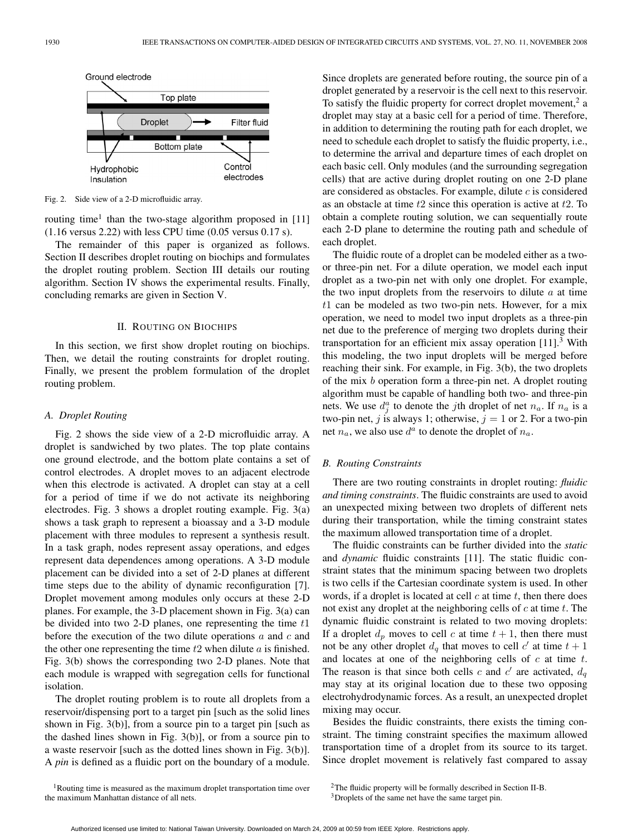

Fig. 2. Side view of a 2-D microfluidic array.

routing time<sup>1</sup> than the two-stage algorithm proposed in  $[11]$ (1.16 versus 2.22) with less CPU time (0.05 versus 0.17 s).

The remainder of this paper is organized as follows. Section II describes droplet routing on biochips and formulates the droplet routing problem. Section III details our routing algorithm. Section IV shows the experimental results. Finally, concluding remarks are given in Section V.

## II. ROUTING ON BIOCHIPS

In this section, we first show droplet routing on biochips. Then, we detail the routing constraints for droplet routing. Finally, we present the problem formulation of the droplet routing problem.

#### *A. Droplet Routing*

Fig. 2 shows the side view of a 2-D microfluidic array. A droplet is sandwiched by two plates. The top plate contains one ground electrode, and the bottom plate contains a set of control electrodes. A droplet moves to an adjacent electrode when this electrode is activated. A droplet can stay at a cell for a period of time if we do not activate its neighboring electrodes. Fig. 3 shows a droplet routing example. Fig. 3(a) shows a task graph to represent a bioassay and a 3-D module placement with three modules to represent a synthesis result. In a task graph, nodes represent assay operations, and edges represent data dependences among operations. A 3-D module placement can be divided into a set of 2-D planes at different time steps due to the ability of dynamic reconfiguration [7]. Droplet movement among modules only occurs at these 2-D planes. For example, the 3-D placement shown in Fig. 3(a) can be divided into two 2-D planes, one representing the time  $t_1$ before the execution of the two dilute operations  $a$  and  $c$  and the other one representing the time  $t2$  when dilute  $a$  is finished. Fig. 3(b) shows the corresponding two 2-D planes. Note that each module is wrapped with segregation cells for functional isolation.

The droplet routing problem is to route all droplets from a reservoir/dispensing port to a target pin [such as the solid lines shown in Fig. 3(b)], from a source pin to a target pin [such as the dashed lines shown in Fig. 3(b)], or from a source pin to a waste reservoir [such as the dotted lines shown in Fig. 3(b)]. A *pin* is defined as a fluidic port on the boundary of a module. Since droplets are generated before routing, the source pin of a droplet generated by a reservoir is the cell next to this reservoir. To satisfy the fluidic property for correct droplet movement,<sup>2</sup> a droplet may stay at a basic cell for a period of time. Therefore, in addition to determining the routing path for each droplet, we need to schedule each droplet to satisfy the fluidic property, i.e., to determine the arrival and departure times of each droplet on each basic cell. Only modules (and the surrounding segregation cells) that are active during droplet routing on one 2-D plane are considered as obstacles. For example, dilute  $c$  is considered as an obstacle at time  $t2$  since this operation is active at  $t2$ . To obtain a complete routing solution, we can sequentially route each 2-D plane to determine the routing path and schedule of each droplet.

The fluidic route of a droplet can be modeled either as a twoor three-pin net. For a dilute operation, we model each input droplet as a two-pin net with only one droplet. For example, the two input droplets from the reservoirs to dilute  $a$  at time  $t1$  can be modeled as two two-pin nets. However, for a mix operation, we need to model two input droplets as a three-pin net due to the preference of merging two droplets during their transportation for an efficient mix assay operation [11].<sup>3</sup> With this modeling, the two input droplets will be merged before reaching their sink. For example, in Fig. 3(b), the two droplets of the mix b operation form a three-pin net. A droplet routing algorithm must be capable of handling both two- and three-pin nets. We use  $d_j^a$  to denote the *j*th droplet of net  $n_a$ . If  $n_a$  is a two-pin net, j is always 1; otherwise,  $j = 1$  or 2. For a two-pin net  $n_a$ , we also use  $d^a$  to denote the droplet of  $n_a$ .

## *B. Routing Constraints*

There are two routing constraints in droplet routing: *fluidic and timing constraints*. The fluidic constraints are used to avoid an unexpected mixing between two droplets of different nets during their transportation, while the timing constraint states the maximum allowed transportation time of a droplet.

The fluidic constraints can be further divided into the *static* and *dynamic* fluidic constraints [11]. The static fluidic constraint states that the minimum spacing between two droplets is two cells if the Cartesian coordinate system is used. In other words, if a droplet is located at cell  $c$  at time  $t$ , then there does not exist any droplet at the neighboring cells of  $c$  at time  $t$ . The dynamic fluidic constraint is related to two moving droplets: If a droplet  $d_p$  moves to cell c at time  $t + 1$ , then there must not be any other droplet  $d_q$  that moves to cell  $c'$  at time  $t + 1$ and locates at one of the neighboring cells of  $c$  at time  $t$ . The reason is that since both cells c and  $c'$  are activated,  $d_q$ may stay at its original location due to these two opposing electrohydrodynamic forces. As a result, an unexpected droplet mixing may occur.

Besides the fluidic constraints, there exists the timing constraint. The timing constraint specifies the maximum allowed transportation time of a droplet from its source to its target. Since droplet movement is relatively fast compared to assay

 $1$ Routing time is measured as the maximum droplet transportation time over the maximum Manhattan distance of all nets.

<sup>2</sup>The fluidic property will be formally described in Section II-B.

<sup>&</sup>lt;sup>3</sup>Droplets of the same net have the same target pin.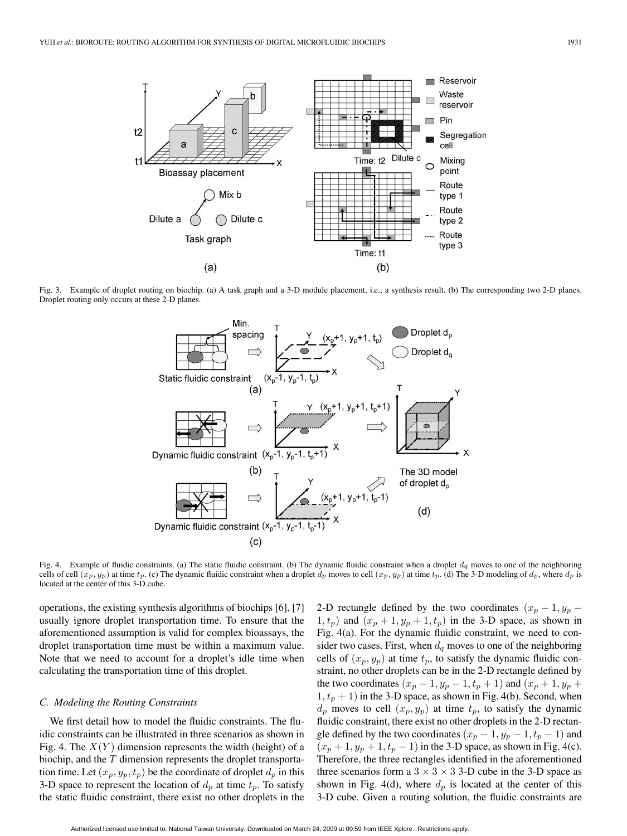

Fig. 3. Example of droplet routing on biochip. (a) A task graph and a 3-D module placement, i.e., a synthesis result. (b) The corresponding two 2-D planes. Droplet routing only occurs at these 2-D planes.



Fig. 4. Example of fluidic constraints. (a) The static fluidic constraint. (b) The dynamic fluidic constraint when a droplet  $d_q$  moves to one of the neighboring cells of cell  $(x_p, y_p)$  at time  $t_p$ . (c) The dynamic fluidic constraint when a droplet  $d_p$  moves to cell  $(x_p, y_p)$  at time  $t_p$ . (d) The 3-D modeling of  $d_p$ , where  $d_p$  is located at the center of this 3-D cube.

operations, the existing synthesis algorithms of biochips [6], [7] usually ignore droplet transportation time. To ensure that the aforementioned assumption is valid for complex bioassays, the droplet transportation time must be within a maximum value. Note that we need to account for a droplet's idle time when calculating the transportation time of this droplet.

## *C. Modeling the Routing Constraints*

We first detail how to model the fluidic constraints. The fluidic constraints can be illustrated in three scenarios as shown in Fig. 4. The  $X(Y)$  dimension represents the width (height) of a biochip, and the  $T$  dimension represents the droplet transportation time. Let  $(x_p, y_p, t_p)$  be the coordinate of droplet  $d_p$  in this 3-D space to represent the location of  $d_p$  at time  $t_p$ . To satisfy the static fluidic constraint, there exist no other droplets in the

2-D rectangle defined by the two coordinates  $(x_p - 1, y_p - 1)$  $(1, t_p)$  and  $(x_p + 1, y_p + 1, t_p)$  in the 3-D space, as shown in Fig. 4(a). For the dynamic fluidic constraint, we need to consider two cases. First, when  $d_q$  moves to one of the neighboring cells of  $(x_p, y_p)$  at time  $t_p$ , to satisfy the dynamic fluidic constraint, no other droplets can be in the 2-D rectangle defined by the two coordinates  $(x_p - 1, y_p - 1, t_p + 1)$  and  $(x_p + 1, y_p + 1)$  $1, t_p + 1$ ) in the 3-D space, as shown in Fig. 4(b). Second, when  $d_p$  moves to cell  $(x_p, y_p)$  at time  $t_p$ , to satisfy the dynamic fluidic constraint, there exist no other droplets in the 2-D rectangle defined by the two coordinates  $(x_p - 1, y_p - 1, t_p - 1)$  and  $(x_p + 1, y_p + 1, t_p - 1)$  in the 3-D space, as shown in Fig. 4(c). Therefore, the three rectangles identified in the aforementioned three scenarios form a  $3 \times 3 \times 3$  3-D cube in the 3-D space as shown in Fig. 4(d), where  $d_p$  is located at the center of this 3-D cube. Given a routing solution, the fluidic constraints are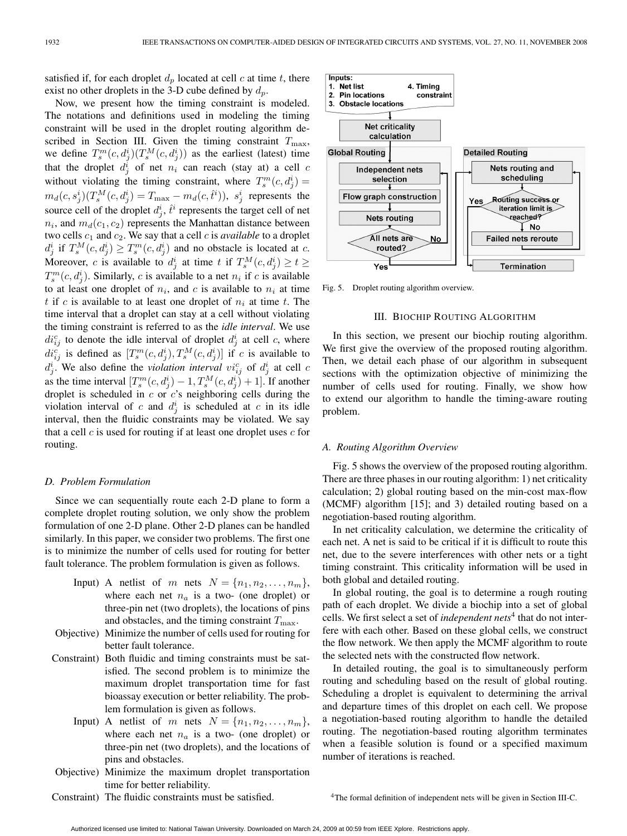satisfied if, for each droplet  $d_p$  located at cell c at time t, there exist no other droplets in the 3-D cube defined by  $d_p$ .

Now, we present how the timing constraint is modeled. The notations and definitions used in modeling the timing constraint will be used in the droplet routing algorithm described in Section III. Given the timing constraint  $T_{\text{max}}$ , we define  $T_s^m(c, d_j^i)(T_s^M(c, d_j^i))$  as the earliest (latest) time that the droplet  $d_j^i$  of net  $n_i$  can reach (stay at) a cell c without violating the timing constraint, where  $T_s^m(c, d_j^i) =$  $m_d(c, s_j^i)(T_s^M(c, d_j^i) = T_{\text{max}} - m_d(c, \hat{t}^i)), s_j^i$  represents the source cell of the droplet  $d_j^i$ ,  $\hat{t}^i$  represents the target cell of net  $n_i$ , and  $m_d(c_1, c_2)$  represents the Manhattan distance between two cells  $c_1$  and  $c_2$ . We say that a cell c is *available* to a droplet  $d_j^i$  if  $T_s^M(c, d_j^i) \geq T_s^m(c, d_j^i)$  and no obstacle is located at c. Moreover, c is available to  $d_j^i$  at time t if  $T_s^M(c, d_j^i) \ge t \ge$  $T_s^m(c, d_j^i)$ . Similarly, c is available to a net  $n_i$  if c is available to at least one droplet of  $n_i$ , and c is available to  $n_i$  at time t if c is available to at least one droplet of  $n_i$  at time t. The time interval that a droplet can stay at a cell without violating the timing constraint is referred to as the *idle interval*. We use  $di_{ij}^c$  to denote the idle interval of droplet  $d_j^i$  at cell c, where  $di_{ij}^c$  is defined as  $[T_s^m(c, d_j^i), T_s^M(c, d_j^i)]$  if c is available to  $d_j^i$ . We also define the *violation interval*  $vi_{ij}^c$  of  $d_j^i$  at cell c as the time interval  $[T_s^m(c, d_j^i) - 1, T_s^M(c, d_j^i) + 1]$ . If another droplet is scheduled in  $c$  or  $c$ 's neighboring cells during the violation interval of c and  $d_j^i$  is scheduled at c in its idle interval, then the fluidic constraints may be violated. We say that a cell  $c$  is used for routing if at least one droplet uses  $c$  for routing.

## *D. Problem Formulation*

Since we can sequentially route each 2-D plane to form a complete droplet routing solution, we only show the problem formulation of one 2-D plane. Other 2-D planes can be handled similarly. In this paper, we consider two problems. The first one is to minimize the number of cells used for routing for better fault tolerance. The problem formulation is given as follows.

- Input) A netlist of m nets  $N = \{n_1, n_2, \ldots, n_m\},\$ where each net  $n_a$  is a two- (one droplet) or three-pin net (two droplets), the locations of pins and obstacles, and the timing constraint  $T_{\text{max}}$ .
- Objective) Minimize the number of cells used for routing for better fault tolerance.
- Constraint) Both fluidic and timing constraints must be satisfied. The second problem is to minimize the maximum droplet transportation time for fast bioassay execution or better reliability. The problem formulation is given as follows.
	- Input) A netlist of m nets  $N = \{n_1, n_2, \ldots, n_m\}$ , where each net  $n_a$  is a two- (one droplet) or three-pin net (two droplets), and the locations of pins and obstacles.
- Objective) Minimize the maximum droplet transportation time for better reliability.

Inputs: 1. Net list 4. Timing  $2.$ **Pin locations** constraint 3. Obstacle locations **Net criticality** calculation **Global Routing Detailed Routing** Nets routing and Independent nets scheduling selection Flow graph construction Routing success or Yes iteration limit is **Nets routing** reached? l No All nets are <u>No</u> **Failed nets reroute** routed? Yes **Termination** 

Fig. 5. Droplet routing algorithm overview.

## III. BIOCHIP ROUTING ALGORITHM

In this section, we present our biochip routing algorithm. We first give the overview of the proposed routing algorithm. Then, we detail each phase of our algorithm in subsequent sections with the optimization objective of minimizing the number of cells used for routing. Finally, we show how to extend our algorithm to handle the timing-aware routing problem.

#### *A. Routing Algorithm Overview*

Fig. 5 shows the overview of the proposed routing algorithm. There are three phases in our routing algorithm: 1) net criticality calculation; 2) global routing based on the min-cost max-flow (MCMF) algorithm [15]; and 3) detailed routing based on a negotiation-based routing algorithm.

In net criticality calculation, we determine the criticality of each net. A net is said to be critical if it is difficult to route this net, due to the severe interferences with other nets or a tight timing constraint. This criticality information will be used in both global and detailed routing.

In global routing, the goal is to determine a rough routing path of each droplet. We divide a biochip into a set of global cells. We first select a set of *independent nets*<sup>4</sup> that do not interfere with each other. Based on these global cells, we construct the flow network. We then apply the MCMF algorithm to route the selected nets with the constructed flow network.

In detailed routing, the goal is to simultaneously perform routing and scheduling based on the result of global routing. Scheduling a droplet is equivalent to determining the arrival and departure times of this droplet on each cell. We propose a negotiation-based routing algorithm to handle the detailed routing. The negotiation-based routing algorithm terminates when a feasible solution is found or a specified maximum number of iterations is reached.

Constraint) The fluidic constraints must be satisfied.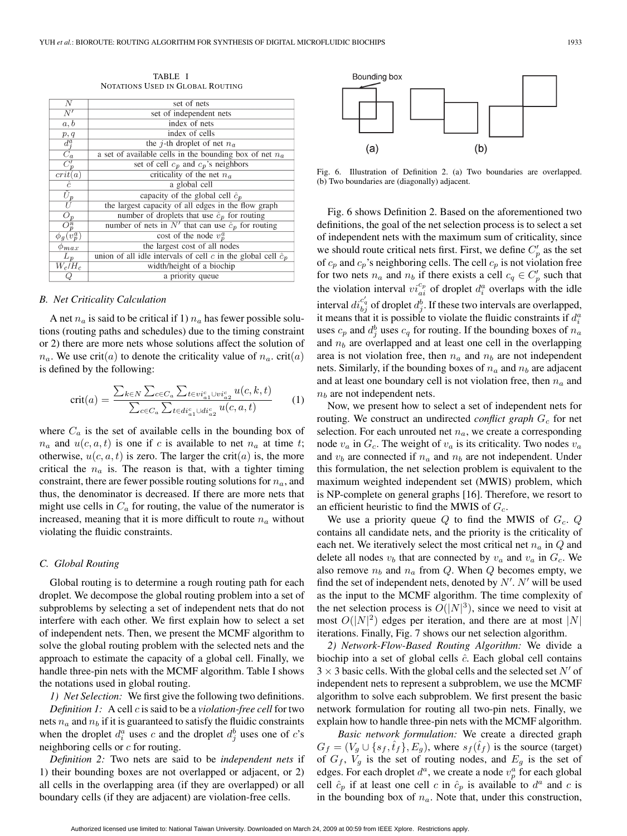TABLE I NOTATIONS USED IN GLOBAL ROUTING

| N                                  | set of nets                                                            |  |  |  |  |
|------------------------------------|------------------------------------------------------------------------|--|--|--|--|
| $N^{\prime}$                       | set of independent nets                                                |  |  |  |  |
| a, b                               | index of nets                                                          |  |  |  |  |
| p, q                               | index of cells                                                         |  |  |  |  |
| $d_i^a$                            | the <i>j</i> -th droplet of net $n_a$                                  |  |  |  |  |
| $\frac{\check{C_a}}{\check{C_p'}}$ | a set of available cells in the bounding box of net $n_a$              |  |  |  |  |
|                                    | set of cell $c_p$ and $c_p$ 's neighbors                               |  |  |  |  |
| crit(a)                            | criticality of the net $n_a$                                           |  |  |  |  |
| ĉ                                  | a global cell                                                          |  |  |  |  |
| $\tilde{U}_p$                      | capacity of the global cell $\hat{c}_n$                                |  |  |  |  |
| $\bar{U}$                          | the largest capacity of all edges in the flow graph                    |  |  |  |  |
| $\overline{O_p}$                   | number of droplets that use $\hat{c}_p$ for routing                    |  |  |  |  |
| $\overline{O_p^{\bar n}}$          | number of nets in $N'$ that can use $\hat{c}_p$ for routing            |  |  |  |  |
| $\phi_g(v_p^a)$                    | cost of the node $v_n^a$                                               |  |  |  |  |
| $\phi_{max}$                       | the largest cost of all nodes                                          |  |  |  |  |
| $L_p$                              | union of all idle intervals of cell $c$ in the global cell $\hat{c}_p$ |  |  |  |  |
| $W_c/H_c$                          | width/height of a biochip                                              |  |  |  |  |
|                                    | a priority queue                                                       |  |  |  |  |

#### *B. Net Criticality Calculation*

A net  $n_a$  is said to be critical if 1)  $n_a$  has fewer possible solutions (routing paths and schedules) due to the timing constraint or 2) there are more nets whose solutions affect the solution of  $n_a$ . We use crit(a) to denote the criticality value of  $n_a$ . crit(a) is defined by the following:

$$
crit(a) = \frac{\sum_{k \in N} \sum_{c \in C_a} \sum_{t \in vi_{a1}^c \cup vi_{a2}^c} u(c, k, t)}{\sum_{c \in C_a} \sum_{t \in di_{a1}^c \cup di_{a2}^c} u(c, a, t)}
$$
(1)

where  $C_a$  is the set of available cells in the bounding box of  $n_a$  and  $u(c, a, t)$  is one if c is available to net  $n_a$  at time t; otherwise,  $u(c, a, t)$  is zero. The larger the crit(a) is, the more critical the  $n_a$  is. The reason is that, with a tighter timing constraint, there are fewer possible routing solutions for  $n_a$ , and thus, the denominator is decreased. If there are more nets that might use cells in  $C_a$  for routing, the value of the numerator is increased, meaning that it is more difficult to route  $n_a$  without violating the fluidic constraints.

## *C. Global Routing*

Global routing is to determine a rough routing path for each droplet. We decompose the global routing problem into a set of subproblems by selecting a set of independent nets that do not interfere with each other. We first explain how to select a set of independent nets. Then, we present the MCMF algorithm to solve the global routing problem with the selected nets and the approach to estimate the capacity of a global cell. Finally, we handle three-pin nets with the MCMF algorithm. Table I shows the notations used in global routing.

*1) Net Selection:* We first give the following two definitions. *Definition 1:* A cell *c* is said to be a *violation-free cell* for two nets  $n_a$  and  $n_b$  if it is guaranteed to satisfy the fluidic constraints when the droplet  $d_i^a$  uses c and the droplet  $d_j^b$  uses one of c's neighboring cells or  $c$  for routing.

*Definition 2:* Two nets are said to be *independent nets* if 1) their bounding boxes are not overlapped or adjacent, or 2) all cells in the overlapping area (if they are overlapped) or all boundary cells (if they are adjacent) are violation-free cells.



Fig. 6. Illustration of Definition 2. (a) Two boundaries are overlapped. (b) Two boundaries are (diagonally) adjacent.

Fig. 6 shows Definition 2. Based on the aforementioned two definitions, the goal of the net selection process is to select a set of independent nets with the maximum sum of criticality, since we should route critical nets first. First, we define  $C_p'$  as the set of  $c_p$  and  $c_p$ 's neighboring cells. The cell  $c_p$  is not violation free for two nets  $n_a$  and  $n_b$  if there exists a cell  $c_q \in C_p'$  such that the violation interval  $vi_{ai}^{c_p}$  of droplet  $d_i^a$  overlaps with the idle interval  $di_{bj}^{c'_q}$  of droplet  $d_j^b$ . If these two intervals are overlapped, it means that it is possible to violate the fluidic constraints if  $d_i^a$ uses  $c_p$  and  $d_j^b$  uses  $c_q$  for routing. If the bounding boxes of  $n_a$ and  $n_b$  are overlapped and at least one cell in the overlapping area is not violation free, then  $n_a$  and  $n_b$  are not independent nets. Similarly, if the bounding boxes of  $n_a$  and  $n_b$  are adjacent and at least one boundary cell is not violation free, then  $n_a$  and  $n_b$  are not independent nets.

Now, we present how to select a set of independent nets for routing. We construct an undirected *conflict graph*  $G_c$  for net selection. For each unrouted net  $n_a$ , we create a corresponding node  $v_a$  in  $G_c$ . The weight of  $v_a$  is its criticality. Two nodes  $v_a$ and  $v_b$  are connected if  $n_a$  and  $n_b$  are not independent. Under this formulation, the net selection problem is equivalent to the maximum weighted independent set (MWIS) problem, which is NP-complete on general graphs [16]. Therefore, we resort to an efficient heuristic to find the MWIS of  $G_c$ .

We use a priority queue  $Q$  to find the MWIS of  $G_c$ . Q contains all candidate nets, and the priority is the criticality of each net. We iteratively select the most critical net  $n_a$  in  $Q$  and delete all nodes  $v_b$  that are connected by  $v_a$  and  $v_a$  in  $G_c$ . We also remove  $n_b$  and  $n_a$  from Q. When Q becomes empty, we find the set of independent nets, denoted by  $N'$ .  $N'$  will be used as the input to the MCMF algorithm. The time complexity of the net selection process is  $O(|N|^3)$ , since we need to visit at most  $O(|N|^2)$  edges per iteration, and there are at most |N| iterations. Finally, Fig. 7 shows our net selection algorithm.

*2) Network-Flow-Based Routing Algorithm:* We divide a biochip into a set of global cells  $\hat{c}$ . Each global cell contains  $3 \times 3$  basic cells. With the global cells and the selected set N' of independent nets to represent a subproblem, we use the MCMF algorithm to solve each subproblem. We first present the basic network formulation for routing all two-pin nets. Finally, we explain how to handle three-pin nets with the MCMF algorithm.

*Basic network formulation:* We create a directed graph  $G_f = (V_g \cup \{s_f, \hat{t}_f\}, E_g)$ , where  $s_f(\hat{t}_f)$  is the source (target) of  $G_f$ ,  $V_g$  is the set of routing nodes, and  $E_g$  is the set of edges. For each droplet  $d^a$ , we create a node  $v_p^a$  for each global cell  $\hat{c}_p$  if at least one cell c in  $\hat{c}_p$  is available to  $d^a$  and c is in the bounding box of  $n_a$ . Note that, under this construction,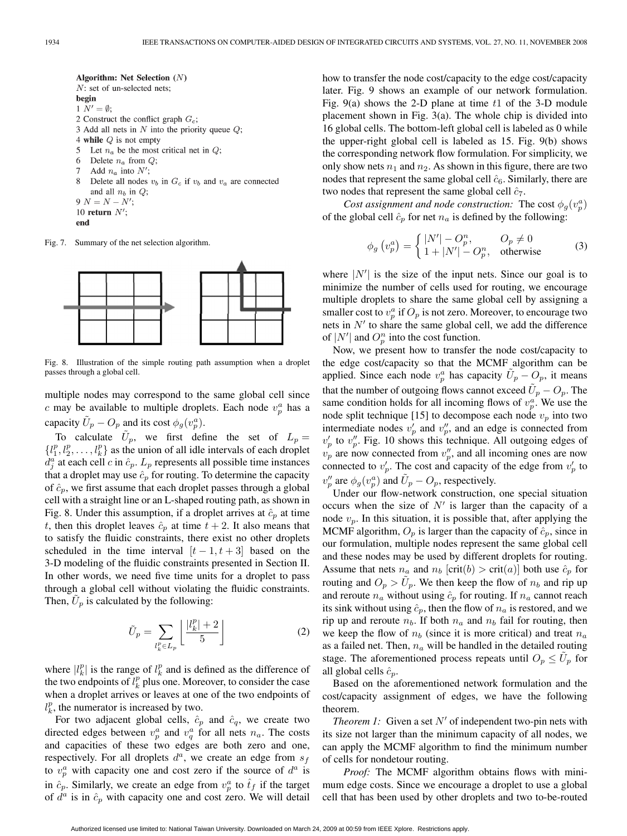Algorithm: Net Selection  $(N)$ N: set of un-selected nets; begin  $1 N' = \emptyset$ ; 2 Construct the conflict graph  $G_c$ ; 3 Add all nets in  $N$  into the priority queue  $Q$ ; 4 while  $Q$  is not empty Let  $n_a$  be the most critical net in  $Q$ ; 6 Delete  $n_a$  from  $Q$ ; Add  $n_a$  into  $N'$ ; Delete all nodes  $v_b$  in  $G_c$  if  $v_b$  and  $v_a$  are connected and all  $n_b$  in  $Q$ ;  $9 N = N - N';$ 10 return  $N'$ ;

end

Fig. 7. Summary of the net selection algorithm.



Fig. 8. Illustration of the simple routing path assumption when a droplet passes through a global cell.

multiple nodes may correspond to the same global cell since c may be available to multiple droplets. Each node  $v_p^a$  has a capacity  $\tilde{U}_p - O_p$  and its cost  $\phi_g(v_p^a)$ .

To calculate  $U_p$ , we first define the set of  $L_p =$  $\{l_1^p, l_2^p, \ldots, l_k^p\}$  as the union of all idle intervals of each droplet  $d_j^a$  at each cell c in  $\hat{c}_p$ .  $L_p$  represents all possible time instances that a droplet may use  $\hat{c}_p$  for routing. To determine the capacity of  $\hat{c}_p$ , we first assume that each droplet passes through a global cell with a straight line or an L-shaped routing path, as shown in Fig. 8. Under this assumption, if a droplet arrives at  $\hat{c}_p$  at time t, then this droplet leaves  $\hat{c}_p$  at time  $t + 2$ . It also means that to satisfy the fluidic constraints, there exist no other droplets scheduled in the time interval  $[t - 1, t + 3]$  based on the 3-D modeling of the fluidic constraints presented in Section II. In other words, we need five time units for a droplet to pass through a global cell without violating the fluidic constraints. Then,  $U_p$  is calculated by the following:

$$
\tilde{U}_p = \sum_{l_k^p \in L_p} \left\lfloor \frac{|l_k^p| + 2}{5} \right\rfloor \tag{2}
$$

where  $|l_k^p|$  is the range of  $l_k^p$  and is defined as the difference of the two endpoints of  $l_k^p$  plus one. Moreover, to consider the case when a droplet arrives or leaves at one of the two endpoints of  $l_k^p$ , the numerator is increased by two.

For two adjacent global cells,  $\hat{c}_p$  and  $\hat{c}_q$ , we create two directed edges between  $v_p^a$  and  $v_q^a$  for all nets  $n_a$ . The costs and capacities of these two edges are both zero and one, respectively. For all droplets  $d^a$ , we create an edge from  $s_f$ to  $v_p^a$  with capacity one and cost zero if the source of  $d^a$  is in  $\hat{c}_p$ . Similarly, we create an edge from  $v_p^a$  to  $\hat{t}_f$  if the target of  $d^a$  is in  $\hat{c}_p$  with capacity one and cost zero. We will detail

how to transfer the node cost/capacity to the edge cost/capacity later. Fig. 9 shows an example of our network formulation. Fig. 9(a) shows the 2-D plane at time  $t1$  of the 3-D module placement shown in Fig. 3(a). The whole chip is divided into 16 global cells. The bottom-left global cell is labeled as 0 while the upper-right global cell is labeled as 15. Fig. 9(b) shows the corresponding network flow formulation. For simplicity, we only show nets  $n_1$  and  $n_2$ . As shown in this figure, there are two nodes that represent the same global cell  $\hat{c}_6$ . Similarly, there are two nodes that represent the same global cell  $\hat{c}_7$ .

*Cost assignment and node construction:* The cost  $\phi_g(v_p^a)$ of the global cell  $\hat{c}_p$  for net  $n_a$  is defined by the following:

$$
\phi_g \left( v_p^a \right) = \begin{cases} |N'| - O_p^n, & O_p \neq 0\\ 1 + |N'| - O_p^n, & \text{otherwise} \end{cases}
$$
 (3)

where  $|N'|$  is the size of the input nets. Since our goal is to minimize the number of cells used for routing, we encourage multiple droplets to share the same global cell by assigning a smaller cost to  $v_p^a$  if  $O_p$  is not zero. Moreover, to encourage two nets in  $N'$  to share the same global cell, we add the difference of  $|N'|$  and  $O_p^n$  into the cost function.

Now, we present how to transfer the node cost/capacity to the edge cost/capacity so that the MCMF algorithm can be applied. Since each node  $v_p^a$  has capacity  $\tilde{U}_p - O_p$ , it means that the number of outgoing flows cannot exceed  $\ddot{U}_p - \dot{O}_p$ . The same condition holds for all incoming flows of  $v_p^a$ . We use the node split technique [15] to decompose each node  $v_p$  into two intermediate nodes  $v'_p$  and  $v''_p$ , and an edge is connected from  $v_p'$  to  $v_p''$ . Fig. 10 shows this technique. All outgoing edges of  $v_p$  are now connected from  $v_p''$ , and all incoming ones are now connected to  $v'_p$ . The cost and capacity of the edge from  $v'_p$  to  $v_p''$  are  $\phi_g(v_p^a)$  and  $\tilde{U}_p - O_p$ , respectively.

Under our flow-network construction, one special situation occurs when the size of  $N'$  is larger than the capacity of a node  $v_p$ . In this situation, it is possible that, after applying the MCMF algorithm,  $O_p$  is larger than the capacity of  $\hat{c}_p$ , since in our formulation, multiple nodes represent the same global cell and these nodes may be used by different droplets for routing. Assume that nets  $n_a$  and  $n_b$  [crit(b) > crit(a)] both use  $\hat{c}_p$  for routing and  $O_p > U_p$ . We then keep the flow of  $n_b$  and rip up and reroute  $n_a$  without using  $\hat{c}_p$  for routing. If  $n_a$  cannot reach its sink without using  $\hat{c}_p$ , then the flow of  $n_a$  is restored, and we rip up and reroute  $n_b$ . If both  $n_a$  and  $n_b$  fail for routing, then we keep the flow of  $n_b$  (since it is more critical) and treat  $n_a$ as a failed net. Then,  $n_a$  will be handled in the detailed routing stage. The aforementioned process repeats until  $O_p \leq U_p$  for all global cells  $\hat{c}_p$ .

Based on the aforementioned network formulation and the cost/capacity assignment of edges, we have the following theorem.

*Theorem 1:* Given a set  $N'$  of independent two-pin nets with its size not larger than the minimum capacity of all nodes, we can apply the MCMF algorithm to find the minimum number of cells for nondetour routing.

*Proof:* The MCMF algorithm obtains flows with minimum edge costs. Since we encourage a droplet to use a global cell that has been used by other droplets and two to-be-routed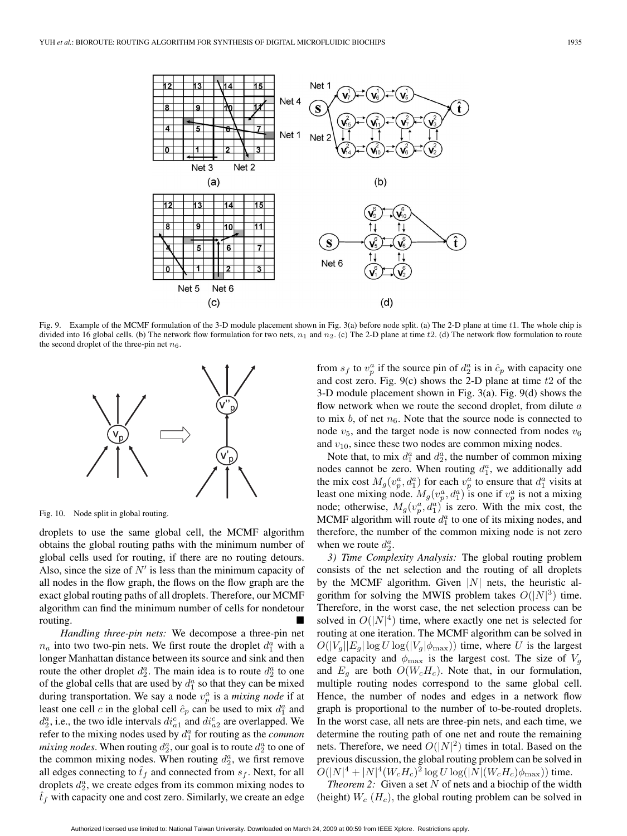

Fig. 9. Example of the MCMF formulation of the 3-D module placement shown in Fig. 3(a) before node split. (a) The 2-D plane at time t1. The whole chip is divided into 16 global cells. (b) The network flow formulation for two nets,  $n_1$  and  $n_2$ . (c) The 2-D plane at time t2. (d) The network flow formulation to route the second droplet of the three-pin net  $n_6$ .



Fig. 10. Node split in global routing.

droplets to use the same global cell, the MCMF algorithm obtains the global routing paths with the minimum number of global cells used for routing, if there are no routing detours. Also, since the size of  $N'$  is less than the minimum capacity of all nodes in the flow graph, the flows on the flow graph are the exact global routing paths of all droplets. Therefore, our MCMF algorithm can find the minimum number of cells for nondetour routing.

*Handling three-pin nets:* We decompose a three-pin net  $n_a$  into two two-pin nets. We first route the droplet  $d_1^a$  with a longer Manhattan distance between its source and sink and then route the other droplet  $d_2^a$ . The main idea is to route  $d_2^a$  to one of the global cells that are used by  $d_1^a$  so that they can be mixed during transportation. We say a node  $v_p^a$  is a *mixing node* if at least one cell c in the global cell  $\hat{c}_p$  can be used to mix  $d_1^a$  and  $d_2^a$ , i.e., the two idle intervals  $di_{a1}^c$  and  $di_{a2}^c$  are overlapped. We refer to the mixing nodes used by  $d_1^a$  for routing as the *common mixing nodes*. When routing  $d_2^a$ , our goal is to route  $d_2^a$  to one of the common mixing nodes. When routing  $d_2^a$ , we first remove all edges connecting to  $\hat{t}_f$  and connected from  $s_f$ . Next, for all droplets  $d_2^a$ , we create edges from its common mixing nodes to  $\hat{t}_f$  with capacity one and cost zero. Similarly, we create an edge

from  $s_f$  to  $v_p^a$  if the source pin of  $d_2^a$  is in  $\hat{c}_p$  with capacity one and cost zero. Fig.  $9(c)$  shows the 2-D plane at time  $t2$  of the 3-D module placement shown in Fig. 3(a). Fig. 9(d) shows the flow network when we route the second droplet, from dilute  $a$ to mix  $b$ , of net  $n_6$ . Note that the source node is connected to node  $v_5$ , and the target node is now connected from nodes  $v_6$ and  $v_{10}$ , since these two nodes are common mixing nodes.

Note that, to mix  $d_1^a$  and  $d_2^a$ , the number of common mixing nodes cannot be zero. When routing  $d_1^a$ , we additionally add the mix cost  $M_g(v_p^a, d_1^a)$  for each  $v_p^a$  to ensure that  $d_1^a$  visits at least one mixing node.  $M_g(v_p^a, d_1^a)$  is one if  $v_p^a$  is not a mixing node; otherwise,  $M_g(v_p^a, d_1^a)$  is zero. With the mix cost, the MCMF algorithm will route  $d_1^a$  to one of its mixing nodes, and therefore, the number of the common mixing node is not zero when we route  $d_2^a$ .

*3) Time Complexity Analysis:* The global routing problem consists of the net selection and the routing of all droplets by the MCMF algorithm. Given  $|N|$  nets, the heuristic algorithm for solving the MWIS problem takes  $O(|N|^3)$  time. Therefore, in the worst case, the net selection process can be solved in  $O(|N|^4)$  time, where exactly one net is selected for routing at one iteration. The MCMF algorithm can be solved in  $O(|V_g||E_g| \log U \log(|V_g| \phi_{\text{max}}))$  time, where U is the largest edge capacity and  $\phi_{\text{max}}$  is the largest cost. The size of  $V_g$ and  $E<sub>g</sub>$  are both  $O(W<sub>c</sub>H<sub>c</sub>)$ . Note that, in our formulation, multiple routing nodes correspond to the same global cell. Hence, the number of nodes and edges in a network flow graph is proportional to the number of to-be-routed droplets. In the worst case, all nets are three-pin nets, and each time, we determine the routing path of one net and route the remaining nets. Therefore, we need  $O(|N|^2)$  times in total. Based on the previous discussion, the global routing problem can be solved in  $O(|N|^4 + |N|^4 (W_c H_c)^2 \log U \log (|N| (W_c H_c) \phi_{\text{max}}))$  time.

*Theorem 2:* Given a set N of nets and a biochip of the width (height)  $W_c$  (H<sub>c</sub>), the global routing problem can be solved in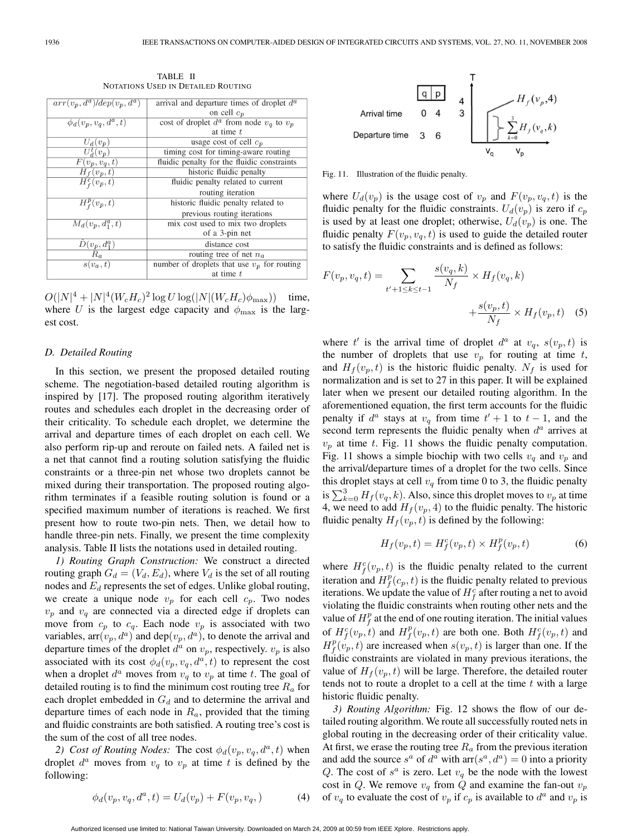| $arr(v_p, d^a)$ /dep $(v_p, d^a)$                                      | arrival and departure times of droplet $d^a$   |  |  |  |
|------------------------------------------------------------------------|------------------------------------------------|--|--|--|
|                                                                        | on cell $c_n$                                  |  |  |  |
| $\phi_d(v_p, v_q, d^a, t)$                                             | cost of droplet $d^a$ from node $v_q$ to $v_p$ |  |  |  |
|                                                                        | at time $t$                                    |  |  |  |
| $U_d(v_p)$                                                             | usage cost of cell $c_n$                       |  |  |  |
| timing cost for timing-aware routing<br>$U_d^t(v_n)$                   |                                                |  |  |  |
| fluidic penalty for the fluidic constraints<br>$F(v_p, v_q, t)$        |                                                |  |  |  |
| $\overline{H_f(v_p,t)}$<br>historic fluidic penalty                    |                                                |  |  |  |
| $H_f^c(v_p,t)$                                                         | fluidic penalty related to current             |  |  |  |
|                                                                        | routing iteration                              |  |  |  |
| $H_f^p(v_p,t)$                                                         | historic fluidic penalty related to            |  |  |  |
|                                                                        | previous routing iterations                    |  |  |  |
| $M_d(v_p, d_1^a, t)$                                                   | mix cost used to mix two droplets              |  |  |  |
|                                                                        | of a 3-pin net                                 |  |  |  |
| $\frac{\hat{D}(v_p, d_1^a)}{R_a}$                                      | distance cost                                  |  |  |  |
|                                                                        | routing tree of net $n_a$                      |  |  |  |
| $\overline{s(v_a,t)}$<br>number of droplets that use $v_p$ for routing |                                                |  |  |  |
|                                                                        | at time $t$                                    |  |  |  |

TABLE II NOTATIONS USED IN DETAILED ROUTING

 $O(|N|^4 + |N|^4 (W_c H_c)^2 \log U \log(|N| (W_c H_c) \phi_{\text{max}}))$  time, where U is the largest edge capacity and  $\phi_{\text{max}}$  is the largest cost.

## *D. Detailed Routing*

In this section, we present the proposed detailed routing scheme. The negotiation-based detailed routing algorithm is inspired by [17]. The proposed routing algorithm iteratively routes and schedules each droplet in the decreasing order of their criticality. To schedule each droplet, we determine the arrival and departure times of each droplet on each cell. We also perform rip-up and reroute on failed nets. A failed net is a net that cannot find a routing solution satisfying the fluidic constraints or a three-pin net whose two droplets cannot be mixed during their transportation. The proposed routing algorithm terminates if a feasible routing solution is found or a specified maximum number of iterations is reached. We first present how to route two-pin nets. Then, we detail how to handle three-pin nets. Finally, we present the time complexity analysis. Table II lists the notations used in detailed routing.

*1) Routing Graph Construction:* We construct a directed routing graph  $G_d = (V_d, E_d)$ , where  $V_d$  is the set of all routing nodes and  $E_d$  represents the set of edges. Unlike global routing, we create a unique node  $v_p$  for each cell  $c_p$ . Two nodes  $v_p$  and  $v_q$  are connected via a directed edge if droplets can move from  $c_p$  to  $c_q$ . Each node  $v_p$  is associated with two variables,  $\arr(v_p, d^a)$  and  $\text{dep}(v_p, d^a)$ , to denote the arrival and departure times of the droplet  $d^a$  on  $v_p$ , respectively.  $v_p$  is also associated with its cost  $\phi_d(v_p, v_q, d^a, t)$  to represent the cost when a droplet  $d^a$  moves from  $v_q$  to  $v_p$  at time t. The goal of detailed routing is to find the minimum cost routing tree  $R_a$  for each droplet embedded in  $G_d$  and to determine the arrival and departure times of each node in  $R_a$ , provided that the timing and fluidic constraints are both satisfied. A routing tree's cost is the sum of the cost of all tree nodes.

*2) Cost of Routing Nodes:* The cost  $\phi_d(v_p, v_q, d^a, t)$  when droplet  $d^a$  moves from  $v_q$  to  $v_p$  at time t is defined by the following:

$$
\phi_d(v_p, v_q, d^a, t) = U_d(v_p) + F(v_p, v_q, )
$$
\n(4)



Fig. 11. Illustration of the fluidic penalty.

where  $U_d(v_p)$  is the usage cost of  $v_p$  and  $F(v_p, v_q, t)$  is the fluidic penalty for the fluidic constraints.  $U_d(v_p)$  is zero if  $c_p$ is used by at least one droplet; otherwise,  $U_d(v_p)$  is one. The fluidic penalty  $F(v_p, v_q, t)$  is used to guide the detailed router to satisfy the fluidic constraints and is defined as follows:

$$
F(v_p, v_q, t) = \sum_{t'+1 \le k \le t-1} \frac{s(v_q, k)}{N_f} \times H_f(v_q, k)
$$

$$
+ \frac{s(v_p, t)}{N_f} \times H_f(v_p, t) \quad (5)
$$

where t' is the arrival time of droplet  $d^a$  at  $v_q$ ,  $s(v_p, t)$  is the number of droplets that use  $v_p$  for routing at time t, and  $H_f(v_p, t)$  is the historic fluidic penalty.  $N_f$  is used for normalization and is set to 27 in this paper. It will be explained later when we present our detailed routing algorithm. In the aforementioned equation, the first term accounts for the fluidic penalty if  $d^a$  stays at  $v_q$  from time  $t' + 1$  to  $t - 1$ , and the second term represents the fluidic penalty when  $d<sup>a</sup>$  arrives at  $v_p$  at time t. Fig. 11 shows the fluidic penalty computation. Fig. 11 shows a simple biochip with two cells  $v_q$  and  $v_p$  and the arrival/departure times of a droplet for the two cells. Since this droplet stays at cell  $v_q$  from time 0 to 3, the fluidic penalty is  $\sum_{k=0}^{3} H_f(v_q, k)$ . Also, since this droplet moves to  $v_p$  at time 4, we need to add  $H_f(v_p, 4)$  to the fluidic penalty. The historic fluidic penalty  $H_f(v_p, t)$  is defined by the following:

$$
H_f(v_p, t) = H_f^c(v_p, t) \times H_f^p(v_p, t)
$$
\n<sup>(6)</sup>

where  $H_f^c(v_p, t)$  is the fluidic penalty related to the current iteration and  $H_f^p(c_p, t)$  is the fluidic penalty related to previous iterations. We update the value of  $H_f^c$  after routing a net to avoid violating the fluidic constraints when routing other nets and the value of  $H_f^p$  at the end of one routing iteration. The initial values of  $H_f^c(v_p, t)$  and  $H_f^p(v_p, t)$  are both one. Both  $H_f^c(v_p, t)$  and  $H_f^p(v_p, t)$  are increased when  $s(v_p, t)$  is larger than one. If the fluidic constraints are violated in many previous iterations, the value of  $H_f(v_p, t)$  will be large. Therefore, the detailed router tends not to route a droplet to a cell at the time  $t$  with a large historic fluidic penalty.

*3) Routing Algorithm:* Fig. 12 shows the flow of our detailed routing algorithm. We route all successfully routed nets in global routing in the decreasing order of their criticality value. At first, we erase the routing tree  $R_a$  from the previous iteration and add the source  $s^a$  of  $d^a$  with  $\arcsin(s^a, d^a)=0$  into a priority Q. The cost of  $s^a$  is zero. Let  $v_q$  be the node with the lowest cost in Q. We remove  $v_q$  from Q and examine the fan-out  $v_p$ of  $v_q$  to evaluate the cost of  $v_p$  if  $c_p$  is available to  $d^a$  and  $v_p$  is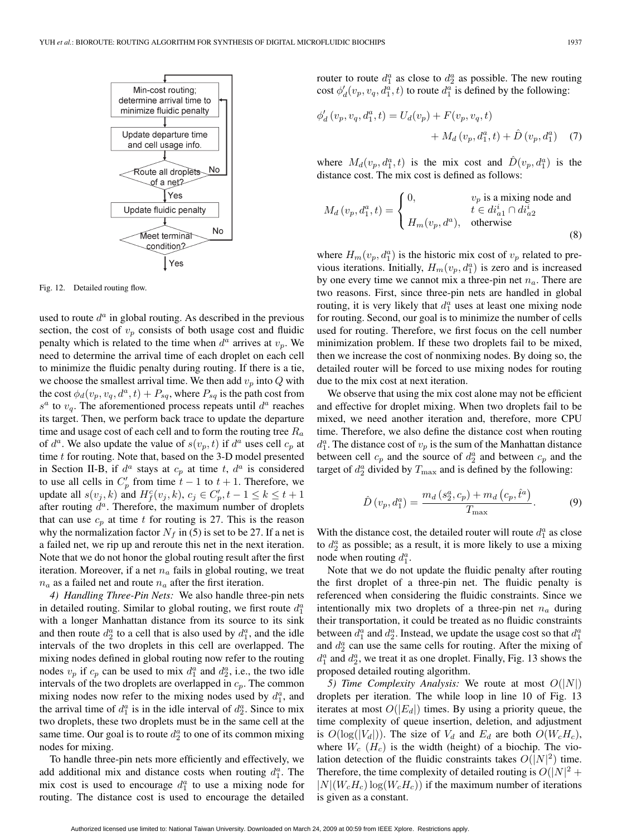

Fig. 12. Detailed routing flow.

used to route  $d^a$  in global routing. As described in the previous section, the cost of  $v_p$  consists of both usage cost and fluidic penalty which is related to the time when  $d^a$  arrives at  $v_p$ . We need to determine the arrival time of each droplet on each cell to minimize the fluidic penalty during routing. If there is a tie, we choose the smallest arrival time. We then add  $v_p$  into  $Q$  with the cost  $\phi_d(v_p, v_q, d^a, t) + P_{sq}$ , where  $P_{sq}$  is the path cost from  $s^a$  to  $v_q$ . The aforementioned process repeats until  $d^a$  reaches its target. Then, we perform back trace to update the departure time and usage cost of each cell and to form the routing tree  $R_a$ of  $d^a$ . We also update the value of  $s(v_p, t)$  if  $d^a$  uses cell  $c_p$  at time t for routing. Note that, based on the 3-D model presented in Section II-B, if  $d^a$  stays at  $c_p$  at time t,  $d^a$  is considered to use all cells in  $C_p'$  from time  $t - 1$  to  $t + 1$ . Therefore, we update all  $s(v_j, k)$  and  $H_f^c(v_j, k)$ ,  $c_j \in C'_p, t - 1 \leq k \leq t + 1$ after routing  $d<sup>a</sup>$ . Therefore, the maximum number of droplets that can use  $c_p$  at time t for routing is 27. This is the reason why the normalization factor  $N_f$  in (5) is set to be 27. If a net is a failed net, we rip up and reroute this net in the next iteration. Note that we do not honor the global routing result after the first iteration. Moreover, if a net  $n_a$  fails in global routing, we treat  $n_a$  as a failed net and route  $n_a$  after the first iteration.

*4) Handling Three-Pin Nets:* We also handle three-pin nets in detailed routing. Similar to global routing, we first route  $d_1^a$ with a longer Manhattan distance from its source to its sink and then route  $d_2^a$  to a cell that is also used by  $d_1^a$ , and the idle intervals of the two droplets in this cell are overlapped. The mixing nodes defined in global routing now refer to the routing nodes  $v_p$  if  $c_p$  can be used to mix  $d_1^a$  and  $d_2^a$ , i.e., the two idle intervals of the two droplets are overlapped in  $c_p$ . The common mixing nodes now refer to the mixing nodes used by  $d_1^a$ , and the arrival time of  $d_1^a$  is in the idle interval of  $d_2^a$ . Since to mix two droplets, these two droplets must be in the same cell at the same time. Our goal is to route  $d_2^a$  to one of its common mixing nodes for mixing.

To handle three-pin nets more efficiently and effectively, we add additional mix and distance costs when routing  $d_1^a$ . The mix cost is used to encourage  $d_1^a$  to use a mixing node for routing. The distance cost is used to encourage the detailed router to route  $d_1^a$  as close to  $d_2^a$  as possible. The new routing cost  $\phi'_d(v_p, v_q, d_1^a, t)$  to route  $d_1^a$  is defined by the following:

$$
\phi'_d(v_p, v_q, d_1^a, t) = U_d(v_p) + F(v_p, v_q, t) + M_d(v_p, d_1^a, t) + \hat{D}(v_p, d_1^a)
$$
 (7)

where  $M_d(v_p, d_1^a, t)$  is the mix cost and  $\hat{D}(v_p, d_1^a)$  is the distance cost. The mix cost is defined as follows:

$$
M_d(v_p, d_1^a, t) = \begin{cases} 0, & v_p \text{ is a mixing node and} \\ & t \in di_{a1}^i \cap di_{a2}^i \\ H_m(v_p, d^a), & \text{otherwise} \end{cases}
$$
(8)

where  $H_m(v_p, d_1^a)$  is the historic mix cost of  $v_p$  related to previous iterations. Initially,  $H_m(v_p, d_1^a)$  is zero and is increased by one every time we cannot mix a three-pin net  $n_a$ . There are two reasons. First, since three-pin nets are handled in global routing, it is very likely that  $d_1^a$  uses at least one mixing node for routing. Second, our goal is to minimize the number of cells used for routing. Therefore, we first focus on the cell number minimization problem. If these two droplets fail to be mixed, then we increase the cost of nonmixing nodes. By doing so, the detailed router will be forced to use mixing nodes for routing due to the mix cost at next iteration.

We observe that using the mix cost alone may not be efficient and effective for droplet mixing. When two droplets fail to be mixed, we need another iteration and, therefore, more CPU time. Therefore, we also define the distance cost when routing  $d_1^a$ . The distance cost of  $v_p$  is the sum of the Manhattan distance between cell  $c_p$  and the source of  $d_2^a$  and between  $c_p$  and the target of  $d_2^a$  divided by  $T_{\text{max}}$  and is defined by the following:

$$
\hat{D}(v_p, d_1^a) = \frac{m_d (s_2^a, c_p) + m_d (c_p, \hat{t}^a)}{T_{\text{max}}}.
$$
\n(9)

With the distance cost, the detailed router will route  $d_1^a$  as close to  $d_2^a$  as possible; as a result, it is more likely to use a mixing node when routing  $d_1^a$ .

Note that we do not update the fluidic penalty after routing the first droplet of a three-pin net. The fluidic penalty is referenced when considering the fluidic constraints. Since we intentionally mix two droplets of a three-pin net  $n_a$  during their transportation, it could be treated as no fluidic constraints between  $d_1^a$  and  $d_2^a$ . Instead, we update the usage cost so that  $d_1^a$ and  $d_2^a$  can use the same cells for routing. After the mixing of  $d_1^a$  and  $d_2^a$ , we treat it as one droplet. Finally, Fig. 13 shows the proposed detailed routing algorithm.

*5) Time Complexity Analysis:* We route at most O(|N|) droplets per iteration. The while loop in line 10 of Fig. 13 iterates at most  $O(|E_d|)$  times. By using a priority queue, the time complexity of queue insertion, deletion, and adjustment is  $O(log(|V_d|))$ . The size of  $V_d$  and  $E_d$  are both  $O(W_cH_c)$ , where  $W_c$  ( $H_c$ ) is the width (height) of a biochip. The violation detection of the fluidic constraints takes  $O(|N|^2)$  time. Therefore, the time complexity of detailed routing is  $O(|N|^2 + 1)$  $|N|(W_cH_c) \log(W_cH_c)$  if the maximum number of iterations is given as a constant.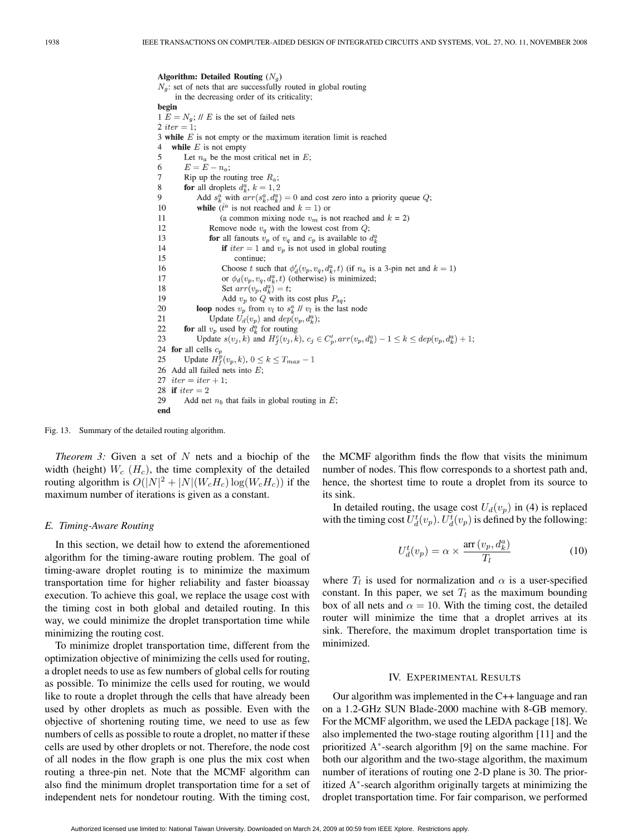Algorithm: Detailed Routing  $(N_a)$  $N_g$ : set of nets that are successfully routed in global routing in the decreasing order of its criticality; hegin 1  $E = N_g$ ; // E is the set of failed nets 2 iter = 1; 3 while  $E$  is not empty or the maximum iteration limit is reached while  $E$  is not empty  $\overline{4}$  $\overline{\phantom{0}}$ Let  $n_a$  be the most critical net in  $E$ ;  $E = E - n_a;$ 6  $\overline{7}$ Rip up the routing tree  $R_a$ ; 8 for all droplets  $d_k^a$ ,  $k = 1, 2$  $\overline{Q}$ Add  $s_k^a$  with  $arr(s_k^a, d_k^a) = 0$  and cost zero into a priority queue Q;  $10$ while  $(\hat{t}^a$  is not reached and  $k = 1$ ) or (a common mixing node  $v_m$  is not reached and  $k = 2$ )  $11$ 12 Remove node  $v_q$  with the lowest cost from  $Q$ ; 13 for all fanouts  $v_p$  of  $v_q$  and  $c_p$  is available to  $d_k^a$ 14 if *iter* = 1 and  $v_p$  is not used in global routing 15 continue: Choose t such that  $\phi'_d(v_p, v_q, d_k^a, t)$  (if  $n_a$  is a 3-pin net and  $k = 1$ ) 16 or  $\phi_d(v_p, v_q, d_k^a, t)$  (otherwise) is minimized; 17 18 Set  $arr(v_p, d_k^a) = t$ ; 19 Add  $v_p$  to Q with its cost plus  $P_{sq}$ ;  $20\,$ **loop** nodes  $v_p$  from  $v_l$  to  $s_k^a$  //  $v_l$  is the last node  $21$ Update  $U_d(v_p)$  and  $dep(v_p, d_k^a)$ ;  $22$ for all  $v_p$  used by  $d_k^a$  for routing 23 Update  $s(v_j, k)$  and  $H^c_f(v_j, k)$ ,  $c_j \in C'_p$ ,  $arr(v_p, d_k^a) - 1 \le k \le dep(v_p, d_k^a) + 1$ ; 24 for all cells  $c_p$ 25 Update  $H_f^p(v_p, k)$ ,  $0 \le k \le T_{max} - 1$ 26 Add all failed nets into  $E$ ; 27  $iter = iter + 1$ : 28 if  $iter = 2$ 29 Add net  $n_b$  that fails in global routing in  $E$ ; end

Fig. 13. Summary of the detailed routing algorithm.

*Theorem 3:* Given a set of N nets and a biochip of the width (height)  $W_c$  ( $H_c$ ), the time complexity of the detailed routing algorithm is  $O(|N|^2 + |N|(W_c H_c) \log(W_c H_c))$  if the maximum number of iterations is given as a constant.

## *E. Timing-Aware Routing*

In this section, we detail how to extend the aforementioned algorithm for the timing-aware routing problem. The goal of timing-aware droplet routing is to minimize the maximum transportation time for higher reliability and faster bioassay execution. To achieve this goal, we replace the usage cost with the timing cost in both global and detailed routing. In this way, we could minimize the droplet transportation time while minimizing the routing cost.

To minimize droplet transportation time, different from the optimization objective of minimizing the cells used for routing, a droplet needs to use as few numbers of global cells for routing as possible. To minimize the cells used for routing, we would like to route a droplet through the cells that have already been used by other droplets as much as possible. Even with the objective of shortening routing time, we need to use as few numbers of cells as possible to route a droplet, no matter if these cells are used by other droplets or not. Therefore, the node cost of all nodes in the flow graph is one plus the mix cost when routing a three-pin net. Note that the MCMF algorithm can also find the minimum droplet transportation time for a set of independent nets for nondetour routing. With the timing cost, the MCMF algorithm finds the flow that visits the minimum number of nodes. This flow corresponds to a shortest path and, hence, the shortest time to route a droplet from its source to its sink.

In detailed routing, the usage cost  $U_d(v_p)$  in (4) is replaced with the timing cost  $U_d^t(v_p)$ .  $U_d^t(v_p)$  is defined by the following:

$$
U_d^t(v_p) = \alpha \times \frac{\text{arr}(v_p, d_k^a)}{T_l} \tag{10}
$$

where  $T_l$  is used for normalization and  $\alpha$  is a user-specified constant. In this paper, we set  $T_l$  as the maximum bounding box of all nets and  $\alpha = 10$ . With the timing cost, the detailed router will minimize the time that a droplet arrives at its sink. Therefore, the maximum droplet transportation time is minimized.

## IV. EXPERIMENTAL RESULTS

Our algorithm was implemented in the C++ language and ran on a 1.2-GHz SUN Blade-2000 machine with 8-GB memory. For the MCMF algorithm, we used the LEDA package [18]. We also implemented the two-stage routing algorithm [11] and the prioritized A<sup>∗</sup>-search algorithm [9] on the same machine. For both our algorithm and the two-stage algorithm, the maximum number of iterations of routing one 2-D plane is 30. The prioritized A<sup>∗</sup>-search algorithm originally targets at minimizing the droplet transportation time. For fair comparison, we performed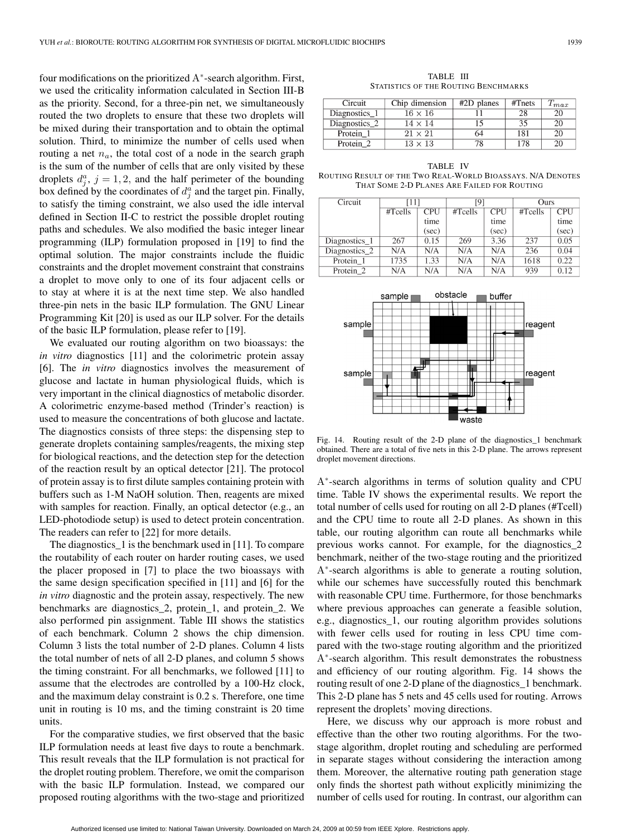four modifications on the prioritized  $A^*$ -search algorithm. First, we used the criticality information calculated in Section III-B as the priority. Second, for a three-pin net, we simultaneously routed the two droplets to ensure that these two droplets will be mixed during their transportation and to obtain the optimal solution. Third, to minimize the number of cells used when routing a net  $n_a$ , the total cost of a node in the search graph is the sum of the number of cells that are only visited by these droplets  $d_j^a$ ,  $j = 1, 2$ , and the half perimeter of the bounding box defined by the coordinates of  $d_j^a$  and the target pin. Finally, to satisfy the timing constraint, we also used the idle interval defined in Section II-C to restrict the possible droplet routing paths and schedules. We also modified the basic integer linear programming (ILP) formulation proposed in [19] to find the optimal solution. The major constraints include the fluidic constraints and the droplet movement constraint that constrains a droplet to move only to one of its four adjacent cells or to stay at where it is at the next time step. We also handled three-pin nets in the basic ILP formulation. The GNU Linear Programming Kit [20] is used as our ILP solver. For the details of the basic ILP formulation, please refer to [19].

We evaluated our routing algorithm on two bioassays: the *in vitro* diagnostics [11] and the colorimetric protein assay [6]. The *in vitro* diagnostics involves the measurement of glucose and lactate in human physiological fluids, which is very important in the clinical diagnostics of metabolic disorder. A colorimetric enzyme-based method (Trinder's reaction) is used to measure the concentrations of both glucose and lactate. The diagnostics consists of three steps: the dispensing step to generate droplets containing samples/reagents, the mixing step for biological reactions, and the detection step for the detection of the reaction result by an optical detector [21]. The protocol of protein assay is to first dilute samples containing protein with buffers such as 1-M NaOH solution. Then, reagents are mixed with samples for reaction. Finally, an optical detector (e.g., an LED-photodiode setup) is used to detect protein concentration. The readers can refer to [22] for more details.

The diagnostics\_1 is the benchmark used in [11]. To compare the routability of each router on harder routing cases, we used the placer proposed in [7] to place the two bioassays with the same design specification specified in [11] and [6] for the *in vitro* diagnostic and the protein assay, respectively. The new benchmarks are diagnostics\_2, protein\_1, and protein\_2. We also performed pin assignment. Table III shows the statistics of each benchmark. Column 2 shows the chip dimension. Column 3 lists the total number of 2-D planes. Column 4 lists the total number of nets of all 2-D planes, and column 5 shows the timing constraint. For all benchmarks, we followed [11] to assume that the electrodes are controlled by a 100-Hz clock, and the maximum delay constraint is 0.2 s. Therefore, one time unit in routing is 10 ms, and the timing constraint is 20 time units.

For the comparative studies, we first observed that the basic ILP formulation needs at least five days to route a benchmark. This result reveals that the ILP formulation is not practical for the droplet routing problem. Therefore, we omit the comparison with the basic ILP formulation. Instead, we compared our proposed routing algorithms with the two-stage and prioritized

TABLE III STATISTICS OF THE ROUTING BENCHMARKS

| Circuit       | Chip dimension | $#2D$ planes | #Tnets | $_{1max}$ |
|---------------|----------------|--------------|--------|-----------|
| Diagnostics_1 | $16 \times 16$ |              | 28     | 20        |
| Diagnostics_2 | $14 \times 14$ |              |        | 20        |
| Protein 1     | $21 \times 21$ | 64           | 181    | 20        |
| Protein 2     | $13 \times 13$ | 78           | 178    | 20        |

TABLE IV ROUTING RESULT OF THE TWO REAL-WORLD BIOASSAYS. N/A DENOTES THAT SOME 2-D PLANES ARE FAILED FOR ROUTING

| Circuit       | [11]    |            | [9]     |            | Ours    |            |
|---------------|---------|------------|---------|------------|---------|------------|
|               | #Tcells | <b>CPU</b> | #Tcells | <b>CPU</b> | #Tcells | <b>CPU</b> |
|               |         | time       |         | time       |         | time       |
|               |         | (sec)      |         | (sec)      |         | (sec)      |
| Diagnostics_1 | 267     | 0.15       | 269     | 3.36       | 237     | 0.05       |
| Diagnostics_2 | N/A     | N/A        | N/A     | N/A        | 236     | 0.04       |
| Protein 1     | 1735    | 1.33       | N/A     | N/A        | 1618    | 0.22       |
| Protein 2     | N/A     | N/A        | N/A     | N/A        | 939     | 0.12       |



Fig. 14. Routing result of the 2-D plane of the diagnostics\_1 benchmark obtained. There are a total of five nets in this 2-D plane. The arrows represent droplet movement directions.

A<sup>∗</sup>-search algorithms in terms of solution quality and CPU time. Table IV shows the experimental results. We report the total number of cells used for routing on all 2-D planes (#Tcell) and the CPU time to route all 2-D planes. As shown in this table, our routing algorithm can route all benchmarks while previous works cannot. For example, for the diagnostics\_2 benchmark, neither of the two-stage routing and the prioritized A<sup>∗</sup>-search algorithms is able to generate a routing solution, while our schemes have successfully routed this benchmark with reasonable CPU time. Furthermore, for those benchmarks where previous approaches can generate a feasible solution, e.g., diagnostics\_1, our routing algorithm provides solutions with fewer cells used for routing in less CPU time compared with the two-stage routing algorithm and the prioritized A<sup>∗</sup>-search algorithm. This result demonstrates the robustness and efficiency of our routing algorithm. Fig. 14 shows the routing result of one 2-D plane of the diagnostics\_1 benchmark. This 2-D plane has 5 nets and 45 cells used for routing. Arrows represent the droplets' moving directions.

Here, we discuss why our approach is more robust and effective than the other two routing algorithms. For the twostage algorithm, droplet routing and scheduling are performed in separate stages without considering the interaction among them. Moreover, the alternative routing path generation stage only finds the shortest path without explicitly minimizing the number of cells used for routing. In contrast, our algorithm can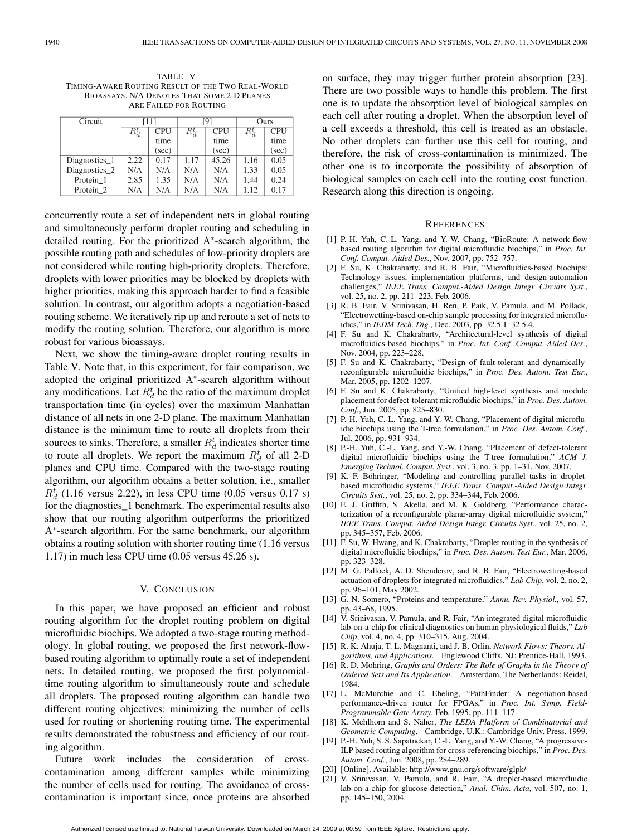TABLE V TIMING-AWARE ROUTING RESULT OF THE TWO REAL-WORLD BIOASSAYS. N/A DENOTES THAT SOME 2-D PLANES ARE FAILED FOR ROUTING

| Circuit       | '111    |            | '91     |            | Ours    |            |
|---------------|---------|------------|---------|------------|---------|------------|
|               | $R_d^t$ | <b>CPU</b> | $R_d^t$ | <b>CPU</b> | $R_d^t$ | <b>CPU</b> |
|               |         | time       |         | time       |         | time       |
|               |         | (sec)      |         | (sec)      |         | (sec)      |
| Diagnostics 1 | 2.22    | 0.17       | 1.17    | 45.26      | 1.16    | 0.05       |
| Diagnostics_2 | N/A     | N/A        | N/A     | N/A        | 1.33    | 0.05       |
| Protein 1     | 2.85    | 1.35       | N/A     | N/A        | 1.44    | 0.24       |
| Protein 2     | N/A     | N/A        | N/A     | N/A        | 1.12    | 0.17       |

concurrently route a set of independent nets in global routing and simultaneously perform droplet routing and scheduling in detailed routing. For the prioritized A∗-search algorithm, the possible routing path and schedules of low-priority droplets are not considered while routing high-priority droplets. Therefore, droplets with lower priorities may be blocked by droplets with higher priorities, making this approach harder to find a feasible solution. In contrast, our algorithm adopts a negotiation-based routing scheme. We iteratively rip up and reroute a set of nets to modify the routing solution. Therefore, our algorithm is more robust for various bioassays.

Next, we show the timing-aware droplet routing results in Table V. Note that, in this experiment, for fair comparison, we adopted the original prioritized A<sup>∗</sup>-search algorithm without any modifications. Let  $R_d^t$  be the ratio of the maximum droplet transportation time (in cycles) over the maximum Manhattan distance of all nets in one 2-D plane. The maximum Manhattan distance is the minimum time to route all droplets from their sources to sinks. Therefore, a smaller  $R_d^t$  indicates shorter time to route all droplets. We report the maximum  $R_d^t$  of all 2-D planes and CPU time. Compared with the two-stage routing algorithm, our algorithm obtains a better solution, i.e., smaller  $R_d^t$  (1.16 versus 2.22), in less CPU time (0.05 versus 0.17 s) for the diagnostics\_1 benchmark. The experimental results also show that our routing algorithm outperforms the prioritized A<sup>∗</sup>-search algorithm. For the same benchmark, our algorithm obtains a routing solution with shorter routing time (1.16 versus 1.17) in much less CPU time (0.05 versus 45.26 s).

## V. CONCLUSION

In this paper, we have proposed an efficient and robust routing algorithm for the droplet routing problem on digital microfluidic biochips. We adopted a two-stage routing methodology. In global routing, we proposed the first network-flowbased routing algorithm to optimally route a set of independent nets. In detailed routing, we proposed the first polynomialtime routing algorithm to simultaneously route and schedule all droplets. The proposed routing algorithm can handle two different routing objectives: minimizing the number of cells used for routing or shortening routing time. The experimental results demonstrated the robustness and efficiency of our routing algorithm.

Future work includes the consideration of crosscontamination among different samples while minimizing the number of cells used for routing. The avoidance of crosscontamination is important since, once proteins are absorbed on surface, they may trigger further protein absorption [23]. There are two possible ways to handle this problem. The first one is to update the absorption level of biological samples on each cell after routing a droplet. When the absorption level of a cell exceeds a threshold, this cell is treated as an obstacle. No other droplets can further use this cell for routing, and therefore, the risk of cross-contamination is minimized. The other one is to incorporate the possibility of absorption of biological samples on each cell into the routing cost function. Research along this direction is ongoing.

#### **REFERENCES**

- [1] P.-H. Yuh, C.-L. Yang, and Y.-W. Chang, "BioRoute: A network-flow based routing algorithm for digital microfluidic biochips," in *Proc. Int. Conf. Comput.-Aided Des.*, Nov. 2007, pp. 752–757.
- [2] F. Su, K. Chakrabarty, and R. B. Fair, "Microfluidics-based biochips: Technology issues, implementation platforms, and design-automation challenges," *IEEE Trans. Comput.-Aided Design Integr. Circuits Syst.*, vol. 25, no. 2, pp. 211–223, Feb. 2006.
- [3] R. B. Fair, V. Srinivasan, H. Ren, P. Paik, V. Pamula, and M. Pollack, "Electrowetting-based on-chip sample processing for integrated microfluidics," in *IEDM Tech. Dig.*, Dec. 2003, pp. 32.5.1–32.5.4.
- [4] F. Su and K. Chakrabarty, "Architectural-level synthesis of digital microfluidics-based biochips," in *Proc. Int. Conf. Comput.-Aided Des.*, Nov. 2004, pp. 223–228.
- [5] F. Su and K. Chakrabarty, "Design of fault-tolerant and dynamicallyreconfigurable microfluidic biochips," in *Proc. Des. Autom. Test Eur.*, Mar. 2005, pp. 1202–1207.
- [6] F. Su and K. Chakrabarty, "Unified high-level synthesis and module placement for defect-tolerant microfluidic biochips," in *Proc. Des. Autom. Conf.*, Jun. 2005, pp. 825–830.
- [7] P.-H. Yuh, C.-L. Yang, and Y.-W. Chang, "Placement of digital microfluidic biochips using the T-tree formulation," in *Proc. Des. Autom. Conf.*, Jul. 2006, pp. 931–934.
- [8] P.-H. Yuh, C.-L. Yang, and Y.-W. Chang, "Placement of defect-tolerant digital microfluidic biochips using the T-tree formulation," *ACM J. Emerging Technol. Comput. Syst.*, vol. 3, no. 3, pp. 1–31, Nov. 2007.
- [9] K. F. Böhringer, "Modeling and controlling parallel tasks in dropletbased microfluidic systems," *IEEE Trans. Comput.-Aided Design Integr. Circuits Syst.*, vol. 25, no. 2, pp. 334–344, Feb. 2006.
- [10] E. J. Griffith, S. Akella, and M. K. Goldberg, "Performance characterization of a reconfigurable planar-array digital microfluidic system," *IEEE Trans. Comput.-Aided Design Integr. Circuits Syst.*, vol. 25, no. 2, pp. 345–357, Feb. 2006.
- [11] F. Su, W. Hwang, and K. Chakrabarty, "Droplet routing in the synthesis of digital microfluidic biochips," in *Proc. Des. Autom. Test Eur.*, Mar. 2006, pp. 323–328.
- [12] M. G. Pallock, A. D. Shenderov, and R. B. Fair, "Electrowetting-based actuation of droplets for integrated microfluidics," *Lab Chip*, vol. 2, no. 2, pp. 96–101, May 2002.
- [13] G. N. Somero, "Proteins and temperature," *Annu. Rev. Physiol.*, vol. 57, pp. 43–68, 1995.
- [14] V. Srinivasan, V. Pamula, and R. Fair, "An integrated digital microfluidic lab-on-a-chip for clinical diagnostics on human physiological fluids," *Lab Chip*, vol. 4, no. 4, pp. 310–315, Aug. 2004.
- [15] R. K. Ahuja, T. L. Magnanti, and J. B. Orlin, *Network Flows: Theory, Algorithms, and Applications*. Englewood Cliffs, NJ: Prentice-Hall, 1993.
- [16] R. D. Mohring, *Graphs and Orders: The Role of Graphs in the Theory of Ordered Sets and Its Application*. Amsterdam, The Netherlands: Reidel, 1984.
- [17] L. McMurchie and C. Ebeling, "PathFinder: A negotiation-based performance-driven router for FPGAs," in *Proc. Int. Symp. Field-Programmable Gate Array*, Feb. 1995, pp. 111–117.
- [18] K. Mehlhorn and S. Näher, *The LEDA Platform of Combinatorial and Geometric Computing*. Cambridge, U.K.: Cambridge Univ. Press, 1999.
- [19] P.-H. Yuh, S. S. Sapatnekar, C.-L. Yang, and Y.-W. Chang, "A progressive-ILP based routing algorithm for cross-referencing biochips," in *Proc. Des. Autom. Conf.*, Jun. 2008, pp. 284–289.
- [20] [Online]. Available: http://www.gnu.org/software/glpk/
- [21] V. Srinivasan, V. Pamula, and R. Fair, "A droplet-based microfluidic lab-on-a-chip for glucose detection," *Anal. Chim. Acta*, vol. 507, no. 1, pp. 145–150, 2004.